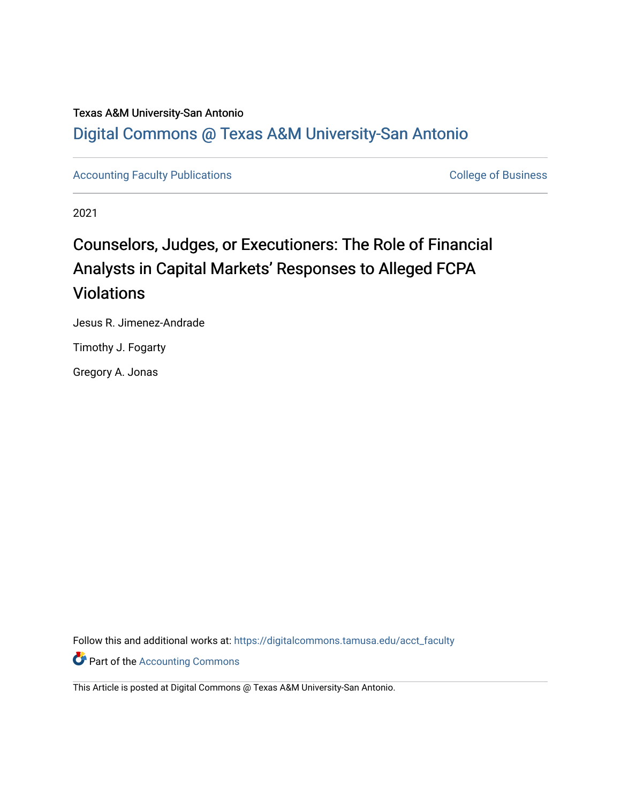## Texas A&M University-San Antonio

## [Digital Commons @ Texas A&M University-San Antonio](https://digitalcommons.tamusa.edu/)

[Accounting Faculty Publications](https://digitalcommons.tamusa.edu/acct_faculty) **College of Business** College of Business

2021

# Counselors, Judges, or Executioners: The Role of Financial Analysts in Capital Markets' Responses to Alleged FCPA Violations

Jesus R. Jimenez-Andrade

Timothy J. Fogarty

Gregory A. Jonas

Follow this and additional works at: [https://digitalcommons.tamusa.edu/acct\\_faculty](https://digitalcommons.tamusa.edu/acct_faculty?utm_source=digitalcommons.tamusa.edu%2Facct_faculty%2F3&utm_medium=PDF&utm_campaign=PDFCoverPages) 

**Part of the [Accounting Commons](http://network.bepress.com/hgg/discipline/625?utm_source=digitalcommons.tamusa.edu%2Facct_faculty%2F3&utm_medium=PDF&utm_campaign=PDFCoverPages)** 

This Article is posted at Digital Commons @ Texas A&M University-San Antonio.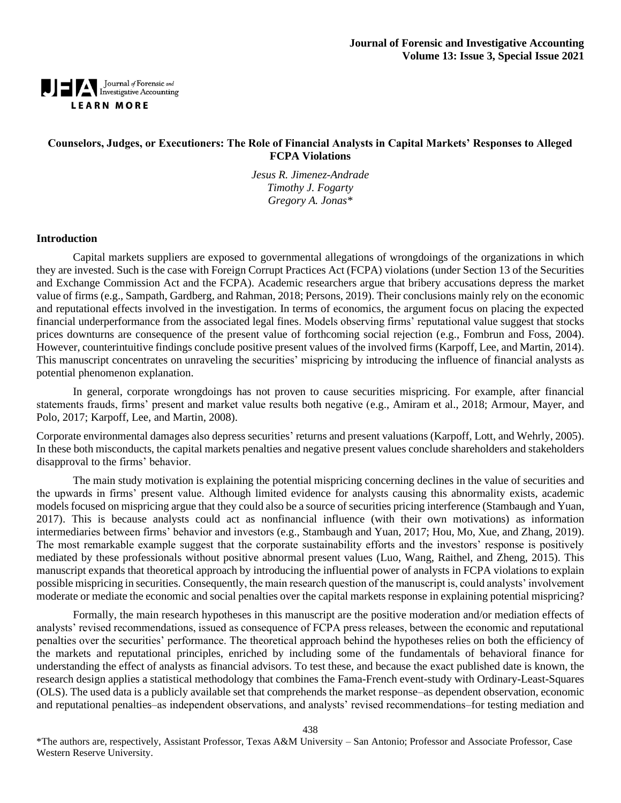## Journal of Forensic and<br>Investigative Accounting **LEARN MORE**

## **Counselors, Judges, or Executioners: The Role of Financial Analysts in Capital Markets' Responses to Alleged FCPA Violations**

*Jesus R. Jimenez-Andrade Timothy J. Fogarty Gregory A. Jonas\**

### **Introduction**

Capital markets suppliers are exposed to governmental allegations of wrongdoings of the organizations in which they are invested. Such is the case with Foreign Corrupt Practices Act (FCPA) violations (under Section 13 of the Securities and Exchange Commission Act and the FCPA). Academic researchers argue that bribery accusations depress the market value of firms (e.g., Sampath, Gardberg, and Rahman, 2018; Persons, 2019). Their conclusions mainly rely on the economic and reputational effects involved in the investigation. In terms of economics, the argument focus on placing the expected financial underperformance from the associated legal fines. Models observing firms' reputational value suggest that stocks prices downturns are consequence of the present value of forthcoming social rejection (e.g., Fombrun and Foss, 2004). However, counterintuitive findings conclude positive present values of the involved firms (Karpoff, Lee, and Martin, 2014). This manuscript concentrates on unraveling the securities' mispricing by introducing the influence of financial analysts as potential phenomenon explanation.

In general, corporate wrongdoings has not proven to cause securities mispricing. For example, after financial statements frauds, firms' present and market value results both negative (e.g., Amiram et al., 2018; Armour, Mayer, and Polo, 2017; Karpoff, Lee, and Martin, 2008).

Corporate environmental damages also depress securities' returns and present valuations (Karpoff, Lott, and Wehrly, 2005). In these both misconducts, the capital markets penalties and negative present values conclude shareholders and stakeholders disapproval to the firms' behavior.

The main study motivation is explaining the potential mispricing concerning declines in the value of securities and the upwards in firms' present value. Although limited evidence for analysts causing this abnormality exists, academic models focused on mispricing argue that they could also be a source of securities pricing interference (Stambaugh and Yuan, 2017). This is because analysts could act as nonfinancial influence (with their own motivations) as information intermediaries between firms' behavior and investors (e.g., Stambaugh and Yuan, 2017; Hou, Mo, Xue, and Zhang, 2019). The most remarkable example suggest that the corporate sustainability efforts and the investors' response is positively mediated by these professionals without positive abnormal present values (Luo, Wang, Raithel, and Zheng, 2015). This manuscript expands that theoretical approach by introducing the influential power of analysts in FCPA violations to explain possible mispricing in securities. Consequently, the main research question of the manuscript is, could analysts' involvement moderate or mediate the economic and social penalties over the capital markets response in explaining potential mispricing?

Formally, the main research hypotheses in this manuscript are the positive moderation and/or mediation effects of analysts' revised recommendations, issued as consequence of FCPA press releases, between the economic and reputational penalties over the securities' performance. The theoretical approach behind the hypotheses relies on both the efficiency of the markets and reputational principles, enriched by including some of the fundamentals of behavioral finance for understanding the effect of analysts as financial advisors. To test these, and because the exact published date is known, the research design applies a statistical methodology that combines the Fama-French event-study with Ordinary-Least-Squares (OLS). The used data is a publicly available set that comprehends the market response–as dependent observation, economic and reputational penalties–as independent observations, and analysts' revised recommendations–for testing mediation and

438

\*The authors are, respectively, Assistant Professor, Texas A&M University – San Antonio; Professor and Associate Professor, Case Western Reserve University.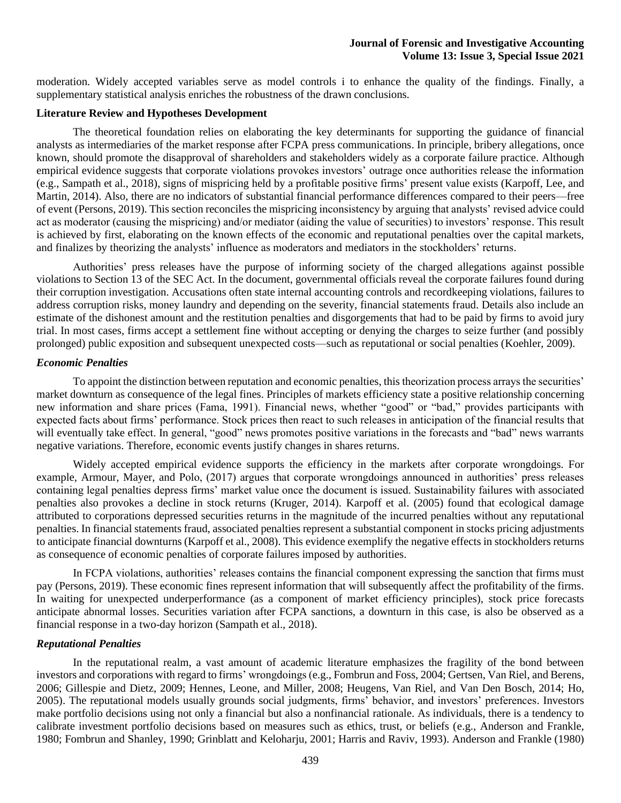moderation. Widely accepted variables serve as model controls i to enhance the quality of the findings. Finally, a supplementary statistical analysis enriches the robustness of the drawn conclusions.

### **Literature Review and Hypotheses Development**

The theoretical foundation relies on elaborating the key determinants for supporting the guidance of financial analysts as intermediaries of the market response after FCPA press communications. In principle, bribery allegations, once known, should promote the disapproval of shareholders and stakeholders widely as a corporate failure practice. Although empirical evidence suggests that corporate violations provokes investors' outrage once authorities release the information (e.g., Sampath et al., 2018), signs of mispricing held by a profitable positive firms' present value exists (Karpoff, Lee, and Martin, 2014). Also, there are no indicators of substantial financial performance differences compared to their peers—free of event (Persons, 2019). This section reconciles the mispricing inconsistency by arguing that analysts' revised advice could act as moderator (causing the mispricing) and/or mediator (aiding the value of securities) to investors' response. This result is achieved by first, elaborating on the known effects of the economic and reputational penalties over the capital markets, and finalizes by theorizing the analysts' influence as moderators and mediators in the stockholders' returns.

Authorities' press releases have the purpose of informing society of the charged allegations against possible violations to Section 13 of the SEC Act. In the document, governmental officials reveal the corporate failures found during their corruption investigation. Accusations often state internal accounting controls and recordkeeping violations, failures to address corruption risks, money laundry and depending on the severity, financial statements fraud. Details also include an estimate of the dishonest amount and the restitution penalties and disgorgements that had to be paid by firms to avoid jury trial. In most cases, firms accept a settlement fine without accepting or denying the charges to seize further (and possibly prolonged) public exposition and subsequent unexpected costs—such as reputational or social penalties (Koehler, 2009).

### *Economic Penalties*

To appoint the distinction between reputation and economic penalties, thistheorization process arrays the securities' market downturn as consequence of the legal fines. Principles of markets efficiency state a positive relationship concerning new information and share prices (Fama, 1991). Financial news, whether "good" or "bad," provides participants with expected facts about firms' performance. Stock prices then react to such releases in anticipation of the financial results that will eventually take effect. In general, "good" news promotes positive variations in the forecasts and "bad" news warrants negative variations. Therefore, economic events justify changes in shares returns.

Widely accepted empirical evidence supports the efficiency in the markets after corporate wrongdoings. For example, Armour, Mayer, and Polo, (2017) argues that corporate wrongdoings announced in authorities' press releases containing legal penalties depress firms' market value once the document is issued. Sustainability failures with associated penalties also provokes a decline in stock returns (Kruger, 2014). Karpoff et al. (2005) found that ecological damage attributed to corporations depressed securities returns in the magnitude of the incurred penalties without any reputational penalties. In financial statements fraud, associated penalties represent a substantial component in stocks pricing adjustments to anticipate financial downturns (Karpoff et al., 2008). This evidence exemplify the negative effects in stockholders returns as consequence of economic penalties of corporate failures imposed by authorities.

In FCPA violations, authorities' releases contains the financial component expressing the sanction that firms must pay (Persons, 2019). These economic fines represent information that will subsequently affect the profitability of the firms. In waiting for unexpected underperformance (as a component of market efficiency principles), stock price forecasts anticipate abnormal losses. Securities variation after FCPA sanctions, a downturn in this case, is also be observed as a financial response in a two-day horizon (Sampath et al., 2018).

### *Reputational Penalties*

In the reputational realm, a vast amount of academic literature emphasizes the fragility of the bond between investors and corporations with regard to firms' wrongdoings (e.g., Fombrun and Foss, 2004; Gertsen, Van Riel, and Berens, 2006; Gillespie and Dietz, 2009; Hennes, Leone, and Miller, 2008; Heugens, Van Riel, and Van Den Bosch, 2014; Ho, 2005). The reputational models usually grounds social judgments, firms' behavior, and investors' preferences. Investors make portfolio decisions using not only a financial but also a nonfinancial rationale. As individuals, there is a tendency to calibrate investment portfolio decisions based on measures such as ethics, trust, or beliefs (e.g., Anderson and Frankle, 1980; Fombrun and Shanley, 1990; Grinblatt and Keloharju, 2001; Harris and Raviv, 1993). Anderson and Frankle (1980)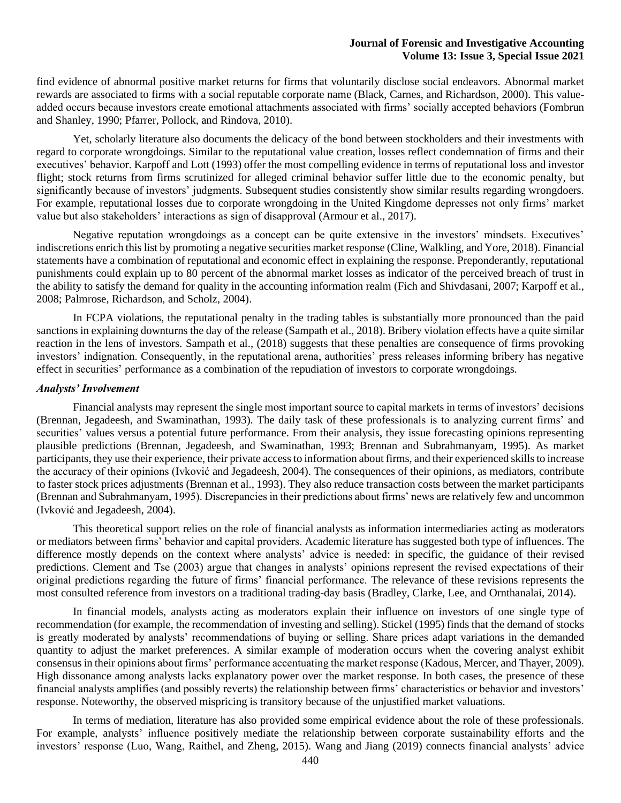find evidence of abnormal positive market returns for firms that voluntarily disclose social endeavors. Abnormal market rewards are associated to firms with a social reputable corporate name (Black, Carnes, and Richardson, 2000). This valueadded occurs because investors create emotional attachments associated with firms' socially accepted behaviors (Fombrun and Shanley, 1990; Pfarrer, Pollock, and Rindova, 2010).

Yet, scholarly literature also documents the delicacy of the bond between stockholders and their investments with regard to corporate wrongdoings. Similar to the reputational value creation, losses reflect condemnation of firms and their executives' behavior. Karpoff and Lott (1993) offer the most compelling evidence in terms of reputational loss and investor flight; stock returns from firms scrutinized for alleged criminal behavior suffer little due to the economic penalty, but significantly because of investors' judgments. Subsequent studies consistently show similar results regarding wrongdoers. For example, reputational losses due to corporate wrongdoing in the United Kingdome depresses not only firms' market value but also stakeholders' interactions as sign of disapproval (Armour et al., 2017).

Negative reputation wrongdoings as a concept can be quite extensive in the investors' mindsets. Executives' indiscretions enrich this list by promoting a negative securities market response (Cline, Walkling, and Yore, 2018). Financial statements have a combination of reputational and economic effect in explaining the response. Preponderantly, reputational punishments could explain up to 80 percent of the abnormal market losses as indicator of the perceived breach of trust in the ability to satisfy the demand for quality in the accounting information realm (Fich and Shivdasani, 2007; Karpoff et al., 2008; Palmrose, Richardson, and Scholz, 2004).

In FCPA violations, the reputational penalty in the trading tables is substantially more pronounced than the paid sanctions in explaining downturns the day of the release (Sampath et al., 2018). Bribery violation effects have a quite similar reaction in the lens of investors. Sampath et al., (2018) suggests that these penalties are consequence of firms provoking investors' indignation. Consequently, in the reputational arena, authorities' press releases informing bribery has negative effect in securities' performance as a combination of the repudiation of investors to corporate wrongdoings.

#### *Analysts' Involvement*

Financial analysts may represent the single most important source to capital markets in terms of investors' decisions (Brennan, Jegadeesh, and Swaminathan, 1993). The daily task of these professionals is to analyzing current firms' and securities' values versus a potential future performance. From their analysis, they issue forecasting opinions representing plausible predictions (Brennan, Jegadeesh, and Swaminathan, 1993; Brennan and Subrahmanyam, 1995). As market participants, they use their experience, their private access to information about firms, and their experienced skills to increase the accuracy of their opinions (Ivković and Jegadeesh, 2004). The consequences of their opinions, as mediators, contribute to faster stock prices adjustments (Brennan et al., 1993). They also reduce transaction costs between the market participants (Brennan and Subrahmanyam, 1995). Discrepancies in their predictions about firms' news are relatively few and uncommon (Ivković and Jegadeesh, 2004).

This theoretical support relies on the role of financial analysts as information intermediaries acting as moderators or mediators between firms' behavior and capital providers. Academic literature has suggested both type of influences. The difference mostly depends on the context where analysts' advice is needed: in specific, the guidance of their revised predictions. Clement and Tse (2003) argue that changes in analysts' opinions represent the revised expectations of their original predictions regarding the future of firms' financial performance. The relevance of these revisions represents the most consulted reference from investors on a traditional trading-day basis (Bradley, Clarke, Lee, and Ornthanalai, 2014).

In financial models, analysts acting as moderators explain their influence on investors of one single type of recommendation (for example, the recommendation of investing and selling). Stickel (1995) finds that the demand of stocks is greatly moderated by analysts' recommendations of buying or selling. Share prices adapt variations in the demanded quantity to adjust the market preferences. A similar example of moderation occurs when the covering analyst exhibit consensus in their opinions about firms' performance accentuating the market response (Kadous, Mercer, and Thayer, 2009). High dissonance among analysts lacks explanatory power over the market response. In both cases, the presence of these financial analysts amplifies (and possibly reverts) the relationship between firms' characteristics or behavior and investors' response. Noteworthy, the observed mispricing is transitory because of the unjustified market valuations.

In terms of mediation, literature has also provided some empirical evidence about the role of these professionals. For example, analysts' influence positively mediate the relationship between corporate sustainability efforts and the investors' response (Luo, Wang, Raithel, and Zheng, 2015). Wang and Jiang (2019) connects financial analysts' advice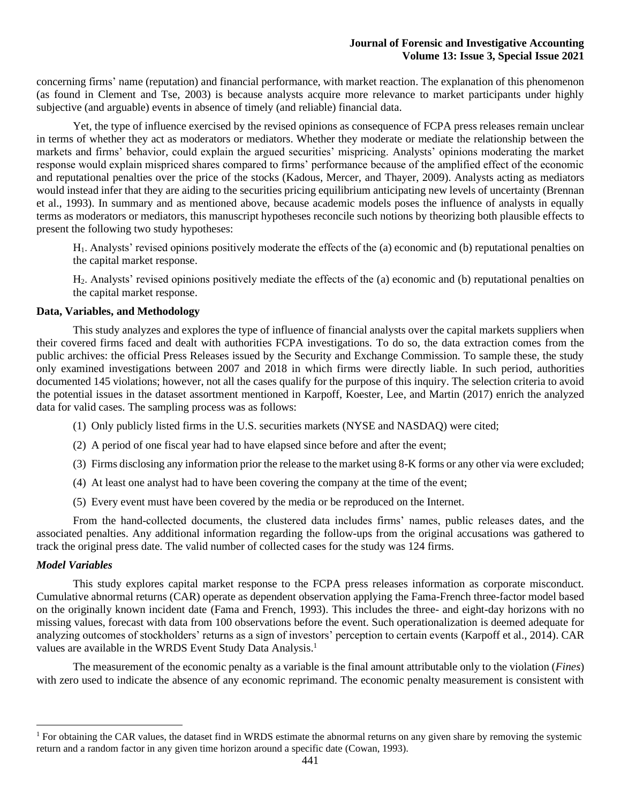concerning firms' name (reputation) and financial performance, with market reaction. The explanation of this phenomenon (as found in Clement and Tse, 2003) is because analysts acquire more relevance to market participants under highly subjective (and arguable) events in absence of timely (and reliable) financial data.

Yet, the type of influence exercised by the revised opinions as consequence of FCPA press releases remain unclear in terms of whether they act as moderators or mediators. Whether they moderate or mediate the relationship between the markets and firms' behavior, could explain the argued securities' mispricing. Analysts' opinions moderating the market response would explain mispriced shares compared to firms' performance because of the amplified effect of the economic and reputational penalties over the price of the stocks (Kadous, Mercer, and Thayer, 2009). Analysts acting as mediators would instead infer that they are aiding to the securities pricing equilibrium anticipating new levels of uncertainty (Brennan et al., 1993). In summary and as mentioned above, because academic models poses the influence of analysts in equally terms as moderators or mediators, this manuscript hypotheses reconcile such notions by theorizing both plausible effects to present the following two study hypotheses:

H1. Analysts' revised opinions positively moderate the effects of the (a) economic and (b) reputational penalties on the capital market response.

H2. Analysts' revised opinions positively mediate the effects of the (a) economic and (b) reputational penalties on the capital market response.

## **Data, Variables, and Methodology**

This study analyzes and explores the type of influence of financial analysts over the capital markets suppliers when their covered firms faced and dealt with authorities FCPA investigations. To do so, the data extraction comes from the public archives: the official Press Releases issued by the Security and Exchange Commission. To sample these, the study only examined investigations between 2007 and 2018 in which firms were directly liable. In such period, authorities documented 145 violations; however, not all the cases qualify for the purpose of this inquiry. The selection criteria to avoid the potential issues in the dataset assortment mentioned in Karpoff, Koester, Lee, and Martin (2017) enrich the analyzed data for valid cases. The sampling process was as follows:

- (1) Only publicly listed firms in the U.S. securities markets (NYSE and NASDAQ) were cited;
- (2) A period of one fiscal year had to have elapsed since before and after the event;
- (3) Firms disclosing any information prior the release to the market using 8-K forms or any other via were excluded;
- (4) At least one analyst had to have been covering the company at the time of the event;
- (5) Every event must have been covered by the media or be reproduced on the Internet.

From the hand-collected documents, the clustered data includes firms' names, public releases dates, and the associated penalties. Any additional information regarding the follow-ups from the original accusations was gathered to track the original press date. The valid number of collected cases for the study was 124 firms.

### *Model Variables*

This study explores capital market response to the FCPA press releases information as corporate misconduct. Cumulative abnormal returns (CAR) operate as dependent observation applying the Fama-French three-factor model based on the originally known incident date (Fama and French, 1993). This includes the three- and eight-day horizons with no missing values, forecast with data from 100 observations before the event. Such operationalization is deemed adequate for analyzing outcomes of stockholders' returns as a sign of investors' perception to certain events (Karpoff et al., 2014). CAR values are available in the WRDS Event Study Data Analysis.<sup>1</sup>

The measurement of the economic penalty as a variable is the final amount attributable only to the violation (*Fines*) with zero used to indicate the absence of any economic reprimand. The economic penalty measurement is consistent with

<sup>&</sup>lt;sup>1</sup> For obtaining the CAR values, the dataset find in WRDS estimate the abnormal returns on any given share by removing the systemic return and a random factor in any given time horizon around a specific date (Cowan, 1993).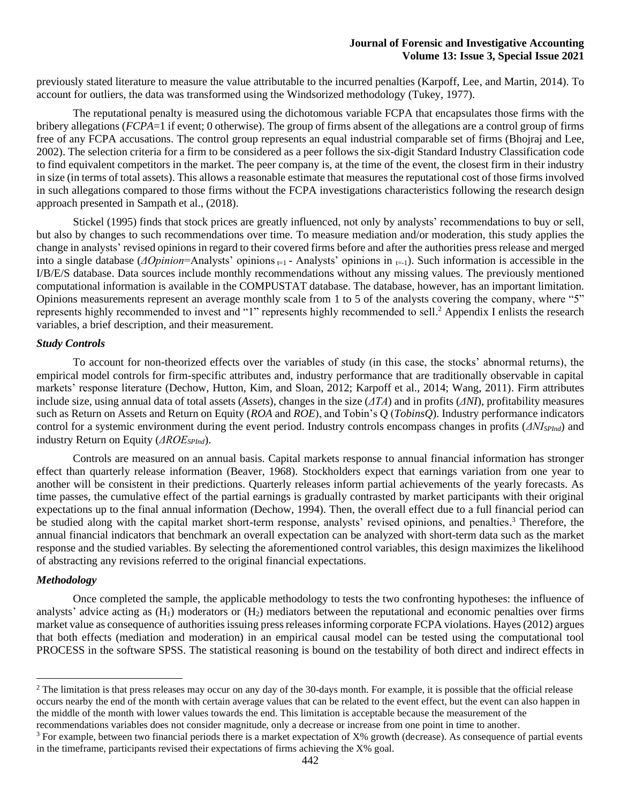previously stated literature to measure the value attributable to the incurred penalties (Karpoff, Lee, and Martin, 2014). To account for outliers, the data was transformed using the Windsorized methodology (Tukey, 1977).

The reputational penalty is measured using the dichotomous variable FCPA that encapsulates those firms with the bribery allegations (*FCPA*=1 if event; 0 otherwise). The group of firms absent of the allegations are a control group of firms free of any FCPA accusations. The control group represents an equal industrial comparable set of firms (Bhojraj and Lee, 2002). The selection criteria for a firm to be considered as a peer follows the six-digit Standard Industry Classification code to find equivalent competitors in the market. The peer company is, at the time of the event, the closest firm in their industry in size (in terms of total assets). This allows a reasonable estimate that measures the reputational cost of those firms involved in such allegations compared to those firms without the FCPA investigations characteristics following the research design approach presented in Sampath et al., (2018).

Stickel (1995) finds that stock prices are greatly influenced, not only by analysts' recommendations to buy or sell, but also by changes to such recommendations over time. To measure mediation and/or moderation, this study applies the change in analysts' revised opinions in regard to their covered firms before and after the authorities press release and merged into a single database ( $\Delta$ Opinion=Analysts' opinions <sub> $\pm 1$ </sub> - Analysts' opinions in  $_{\pm 1}$ ). Such information is accessible in the I/B/E/S database. Data sources include monthly recommendations without any missing values. The previously mentioned computational information is available in the COMPUSTAT database. The database, however, has an important limitation. Opinions measurements represent an average monthly scale from 1 to 5 of the analysts covering the company, where "5" represents highly recommended to invest and "1" represents highly recommended to sell.<sup>2</sup> Appendix I enlists the research variables, a brief description, and their measurement.

## *Study Controls*

To account for non-theorized effects over the variables of study (in this case, the stocks' abnormal returns), the empirical model controls for firm-specific attributes and, industry performance that are traditionally observable in capital markets' response literature (Dechow, Hutton, Kim, and Sloan, 2012; Karpoff et al., 2014; Wang, 2011). Firm attributes include size, using annual data of total assets (*Assets*), changes in the size (*ΔTA*) and in profits (*ΔNI*), profitability measures such as Return on Assets and Return on Equity (*ROA* and *ROE*), and Tobin's Q (*TobinsQ*). Industry performance indicators control for a systemic environment during the event period. Industry controls encompass changes in profits (*ΔNISPInd*) and industry Return on Equity (*ΔROESPInd*).

Controls are measured on an annual basis. Capital markets response to annual financial information has stronger effect than quarterly release information (Beaver, 1968). Stockholders expect that earnings variation from one year to another will be consistent in their predictions. Quarterly releases inform partial achievements of the yearly forecasts. As time passes, the cumulative effect of the partial earnings is gradually contrasted by market participants with their original expectations up to the final annual information (Dechow, 1994). Then, the overall effect due to a full financial period can be studied along with the capital market short-term response, analysts' revised opinions, and penalties.<sup>3</sup> Therefore, the annual financial indicators that benchmark an overall expectation can be analyzed with short-term data such as the market response and the studied variables. By selecting the aforementioned control variables, this design maximizes the likelihood of abstracting any revisions referred to the original financial expectations.

### *Methodology*

Once completed the sample, the applicable methodology to tests the two confronting hypotheses: the influence of analysts' advice acting as  $(H_1)$  moderators or  $(H_2)$  mediators between the reputational and economic penalties over firms market value as consequence of authorities issuing press releasesinforming corporate FCPA violations. Hayes (2012) argues that both effects (mediation and moderation) in an empirical causal model can be tested using the computational tool PROCESS in the software SPSS. The statistical reasoning is bound on the testability of both direct and indirect effects in

recommendations variables does not consider magnitude, only a decrease or increase from one point in time to another.

<sup>&</sup>lt;sup>2</sup> The limitation is that press releases may occur on any day of the 30-days month. For example, it is possible that the official release occurs nearby the end of the month with certain average values that can be related to the event effect, but the event can also happen in the middle of the month with lower values towards the end. This limitation is acceptable because the measurement of the

 $3$  For example, between two financial periods there is a market expectation of  $X\%$  growth (decrease). As consequence of partial events in the timeframe, participants revised their expectations of firms achieving the  $X\%$  goal.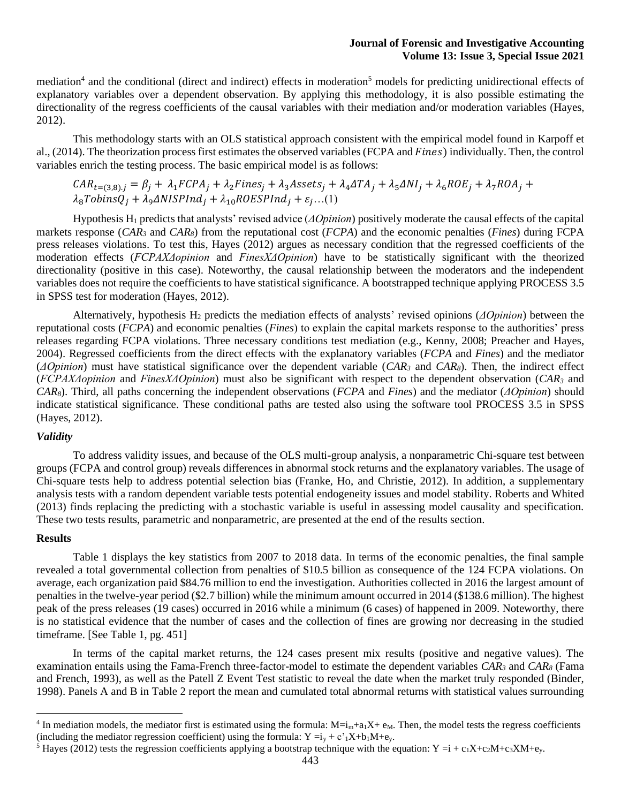mediation<sup>4</sup> and the conditional (direct and indirect) effects in moderation<sup>5</sup> models for predicting unidirectional effects of explanatory variables over a dependent observation. By applying this methodology, it is also possible estimating the directionality of the regress coefficients of the causal variables with their mediation and/or moderation variables (Hayes, 2012).

This methodology starts with an OLS statistical approach consistent with the empirical model found in Karpoff et al.,  $(2014)$ . The theorization process first estimates the observed variables (FCPA and *Fines*) individually. Then, the control variables enrich the testing process. The basic empirical model is as follows:

$$
CAR_{t=(3,8),j} = \beta_j + \lambda_1 FCPA_j + \lambda_2 Fines_j + \lambda_3 Assets_j + \lambda_4 A TA_j + \lambda_5 \Delta NI_j + \lambda_6 ROE_j + \lambda_7 ROA_j + \lambda_8 TobinsQ_j + \lambda_9 \Delta NISPInd_j + \lambda_{10} ROESPInd_j + \varepsilon_j ... (1)
$$

Hypothesis H<sup>1</sup> predicts that analysts' revised advice (*ΔOpinion*) positively moderate the causal effects of the capital markets response (*CAR<sup>3</sup>* and *CAR8*) from the reputational cost (*FCPA*) and the economic penalties (*Fines*) during FCPA press releases violations. To test this, Hayes (2012) argues as necessary condition that the regressed coefficients of the moderation effects (*FCPAXΔopinion* and *FinesXΔOpinion*) have to be statistically significant with the theorized directionality (positive in this case). Noteworthy, the causal relationship between the moderators and the independent variables does not require the coefficients to have statistical significance. A bootstrapped technique applying PROCESS 3.5 in SPSS test for moderation (Hayes, 2012).

Alternatively, hypothesis H<sup>2</sup> predicts the mediation effects of analysts' revised opinions (*ΔOpinion*) between the reputational costs (*FCPA*) and economic penalties (*Fines*) to explain the capital markets response to the authorities' press releases regarding FCPA violations. Three necessary conditions test mediation (e.g., Kenny, 2008; Preacher and Hayes, 2004). Regressed coefficients from the direct effects with the explanatory variables (*FCPA* and *Fines*) and the mediator (*ΔOpinion*) must have statistical significance over the dependent variable (*CAR<sup>3</sup>* and *CAR8*). Then, the indirect effect (*FCPAXΔopinion* and *FinesXΔOpinion*) must also be significant with respect to the dependent observation (*CAR<sup>3</sup>* and *CAR8*). Third, all paths concerning the independent observations (*FCPA* and *Fines*) and the mediator (*ΔOpinion*) should indicate statistical significance. These conditional paths are tested also using the software tool PROCESS 3.5 in SPSS (Hayes, 2012).

## *Validity*

To address validity issues, and because of the OLS multi-group analysis, a nonparametric Chi-square test between groups (FCPA and control group) reveals differences in abnormal stock returns and the explanatory variables. The usage of Chi-square tests help to address potential selection bias (Franke, Ho, and Christie, 2012). In addition, a supplementary analysis tests with a random dependent variable tests potential endogeneity issues and model stability. Roberts and Whited (2013) finds replacing the predicting with a stochastic variable is useful in assessing model causality and specification. These two tests results, parametric and nonparametric, are presented at the end of the results section.

#### **Results**

Table 1 displays the key statistics from 2007 to 2018 data. In terms of the economic penalties, the final sample revealed a total governmental collection from penalties of \$10.5 billion as consequence of the 124 FCPA violations. On average, each organization paid \$84.76 million to end the investigation. Authorities collected in 2016 the largest amount of penalties in the twelve-year period (\$2.7 billion) while the minimum amount occurred in 2014 (\$138.6 million). The highest peak of the press releases (19 cases) occurred in 2016 while a minimum (6 cases) of happened in 2009. Noteworthy, there is no statistical evidence that the number of cases and the collection of fines are growing nor decreasing in the studied timeframe. [See Table 1, pg. 451]

In terms of the capital market returns, the 124 cases present mix results (positive and negative values). The examination entails using the Fama-French three-factor-model to estimate the dependent variables *CAR<sup>3</sup>* and *CAR<sup>8</sup>* (Fama and French, 1993), as well as the Patell Z Event Test statistic to reveal the date when the market truly responded (Binder, 1998). Panels A and B in Table 2 report the mean and cumulated total abnormal returns with statistical values surrounding

<sup>&</sup>lt;sup>4</sup> In mediation models, the mediator first is estimated using the formula:  $M=i_m+a_1X+e_M$ . Then, the model tests the regress coefficients (including the mediator regression coefficient) using the formula:  $Y = i_y + c' \cdot 1X + b_1M + e_y$ .

<sup>&</sup>lt;sup>5</sup> Hayes (2012) tests the regression coefficients applying a bootstrap technique with the equation:  $Y = i + c_1X+c_2M+c_3XM+c_3$ .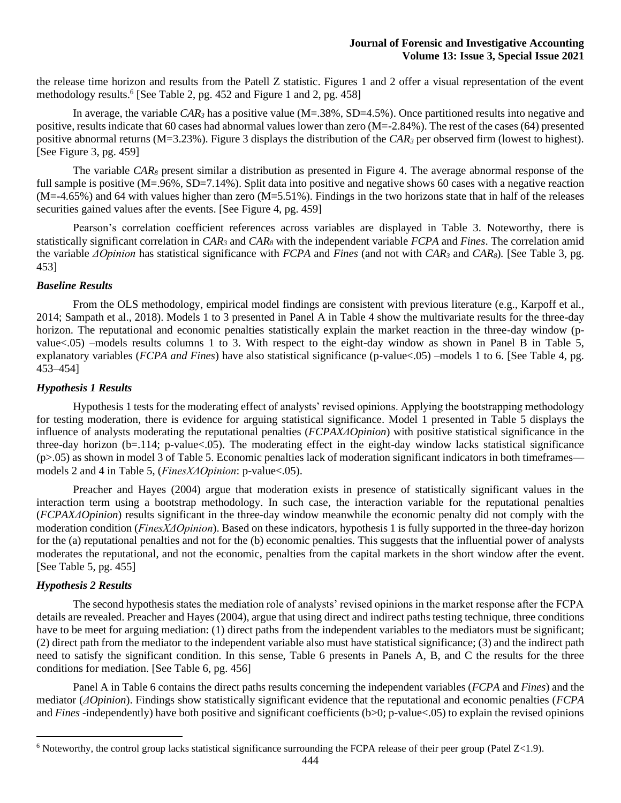the release time horizon and results from the Patell Z statistic. Figures 1 and 2 offer a visual representation of the event methodology results. 6 [See Table 2, pg. 452 and Figure 1 and 2, pg. 458]

In average, the variable  $CAR_3$  has a positive value (M=.38%, SD=4.5%). Once partitioned results into negative and positive, results indicate that 60 cases had abnormal values lower than zero (M=-2.84%). The rest of the cases (64) presented positive abnormal returns (M=3.23%). Figure 3 displays the distribution of the *CAR<sup>3</sup>* per observed firm (lowest to highest). [See Figure 3, pg. 459]

The variable *CAR<sup>8</sup>* present similar a distribution as presented in Figure 4. The average abnormal response of the full sample is positive (M=.96%, SD=7.14%). Split data into positive and negative shows 60 cases with a negative reaction  $(M=-4.65%)$  and 64 with values higher than zero  $(M=5.51%)$ . Findings in the two horizons state that in half of the releases securities gained values after the events. [See Figure 4, pg. 459]

Pearson's correlation coefficient references across variables are displayed in Table 3. Noteworthy, there is statistically significant correlation in *CAR<sup>3</sup>* and *CAR<sup>8</sup>* with the independent variable *FCPA* and *Fines*. The correlation amid the variable *ΔOpinion* has statistical significance with *FCPA* and *Fines* (and not with *CAR<sup>3</sup>* and *CAR8*)*.* [See Table 3, pg. 453]

## *Baseline Results*

From the OLS methodology, empirical model findings are consistent with previous literature (e.g., Karpoff et al., 2014; Sampath et al., 2018). Models 1 to 3 presented in Panel A in Table 4 show the multivariate results for the three-day horizon. The reputational and economic penalties statistically explain the market reaction in the three-day window (pvalue<.05) –models results columns 1 to 3. With respect to the eight-day window as shown in Panel B in Table 5, explanatory variables (*FCPA and Fines*) have also statistical significance (p-value<.05) –models 1 to 6. [See Table 4, pg. 453–454]

## *Hypothesis 1 Results*

Hypothesis 1 tests for the moderating effect of analysts' revised opinions. Applying the bootstrapping methodology for testing moderation, there is evidence for arguing statistical significance. Model 1 presented in Table 5 displays the influence of analysts moderating the reputational penalties (*FCPAXΔOpinion*) with positive statistical significance in the three-day horizon (b=.114; p-value $<05$ ). The moderating effect in the eight-day window lacks statistical significance  $(p>0.05)$  as shown in model 3 of Table 5. Economic penalties lack of moderation significant indicators in both timeframes models 2 and 4 in Table 5, (*FinesXΔOpinion*: p-value<.05).

Preacher and Hayes (2004) argue that moderation exists in presence of statistically significant values in the interaction term using a bootstrap methodology. In such case, the interaction variable for the reputational penalties (*FCPAXΔOpinion*) results significant in the three-day window meanwhile the economic penalty did not comply with the moderation condition (*FinesXΔOpinion*). Based on these indicators, hypothesis 1 is fully supported in the three-day horizon for the (a) reputational penalties and not for the (b) economic penalties. This suggests that the influential power of analysts moderates the reputational, and not the economic, penalties from the capital markets in the short window after the event. [See Table 5, pg. 455]

## *Hypothesis 2 Results*

The second hypothesis states the mediation role of analysts' revised opinions in the market response after the FCPA details are revealed. Preacher and Hayes (2004), argue that using direct and indirect paths testing technique, three conditions have to be meet for arguing mediation: (1) direct paths from the independent variables to the mediators must be significant; (2) direct path from the mediator to the independent variable also must have statistical significance; (3) and the indirect path need to satisfy the significant condition. In this sense, Table 6 presents in Panels A, B, and C the results for the three conditions for mediation. [See Table 6, pg. 456]

Panel A in Table 6 contains the direct paths results concerning the independent variables (*FCPA* and *Fines*) and the mediator (*ΔOpinion*). Findings show statistically significant evidence that the reputational and economic penalties (*FCPA*  and *Fines* -independently) have both positive and significant coefficients (b>0; p-value <.05) to explain the revised opinions

 $6$  Noteworthy, the control group lacks statistical significance surrounding the FCPA release of their peer group (Patel Z<1.9).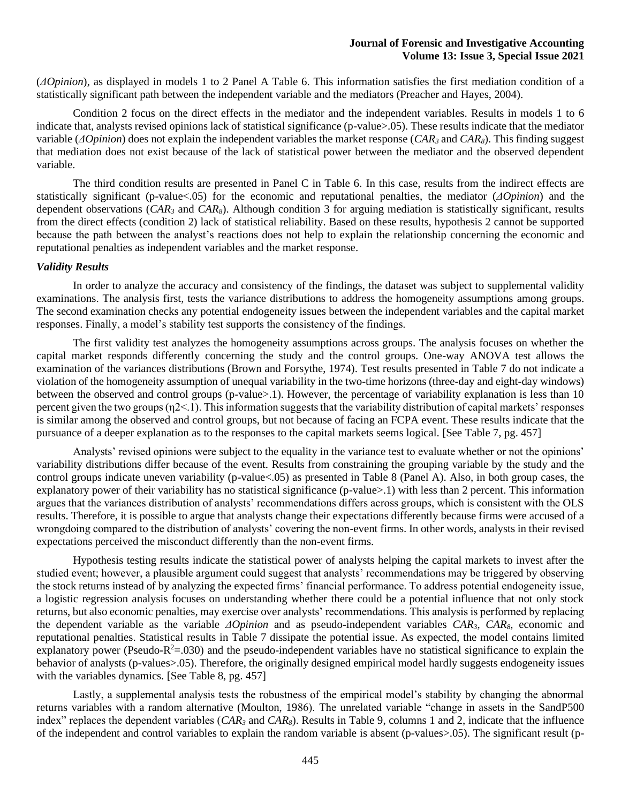(*ΔOpinion*), as displayed in models 1 to 2 Panel A Table 6. This information satisfies the first mediation condition of a statistically significant path between the independent variable and the mediators (Preacher and Hayes, 2004).

Condition 2 focus on the direct effects in the mediator and the independent variables. Results in models 1 to 6 indicate that, analysts revised opinions lack of statistical significance (p-value>.05). These results indicate that the mediator variable (*ΔOpinion*) does not explain the independent variables the market response (*CAR<sup>3</sup>* and *CAR8*). This finding suggest that mediation does not exist because of the lack of statistical power between the mediator and the observed dependent variable.

The third condition results are presented in Panel C in Table 6. In this case, results from the indirect effects are statistically significant (p-value<.05) for the economic and reputational penalties, the mediator (*ΔOpinion*) and the dependent observations (*CAR<sup>3</sup>* and *CAR8*). Although condition 3 for arguing mediation is statistically significant, results from the direct effects (condition 2) lack of statistical reliability. Based on these results, hypothesis 2 cannot be supported because the path between the analyst's reactions does not help to explain the relationship concerning the economic and reputational penalties as independent variables and the market response.

#### *Validity Results*

In order to analyze the accuracy and consistency of the findings, the dataset was subject to supplemental validity examinations. The analysis first, tests the variance distributions to address the homogeneity assumptions among groups. The second examination checks any potential endogeneity issues between the independent variables and the capital market responses. Finally, a model's stability test supports the consistency of the findings.

The first validity test analyzes the homogeneity assumptions across groups. The analysis focuses on whether the capital market responds differently concerning the study and the control groups. One-way ANOVA test allows the examination of the variances distributions (Brown and Forsythe, 1974). Test results presented in Table 7 do not indicate a violation of the homogeneity assumption of unequal variability in the two-time horizons (three-day and eight-day windows) between the observed and control groups (p-value>.1). However, the percentage of variability explanation is less than 10 percent given the two groups (η2<.1). This information suggests that the variability distribution of capital markets' responses is similar among the observed and control groups, but not because of facing an FCPA event. These results indicate that the pursuance of a deeper explanation as to the responses to the capital markets seems logical. [See Table 7, pg. 457]

Analysts' revised opinions were subject to the equality in the variance test to evaluate whether or not the opinions' variability distributions differ because of the event. Results from constraining the grouping variable by the study and the control groups indicate uneven variability (p-value<.05) as presented in Table 8 (Panel A). Also, in both group cases, the explanatory power of their variability has no statistical significance (p-value>.1) with less than 2 percent. This information argues that the variances distribution of analysts' recommendations differs across groups, which is consistent with the OLS results. Therefore, it is possible to argue that analysts change their expectations differently because firms were accused of a wrongdoing compared to the distribution of analysts' covering the non-event firms. In other words, analysts in their revised expectations perceived the misconduct differently than the non-event firms.

Hypothesis testing results indicate the statistical power of analysts helping the capital markets to invest after the studied event; however, a plausible argument could suggest that analysts' recommendations may be triggered by observing the stock returns instead of by analyzing the expected firms' financial performance. To address potential endogeneity issue, a logistic regression analysis focuses on understanding whether there could be a potential influence that not only stock returns, but also economic penalties, may exercise over analysts' recommendations. This analysis is performed by replacing the dependent variable as the variable *ΔOpinion* and as pseudo-independent variables *CAR3*, *CAR8*, economic and reputational penalties. Statistical results in Table 7 dissipate the potential issue. As expected, the model contains limited explanatory power (Pseudo- $R^2 = .030$ ) and the pseudo-independent variables have no statistical significance to explain the behavior of analysts (p-values>.05). Therefore, the originally designed empirical model hardly suggests endogeneity issues with the variables dynamics. [See Table 8, pg. 457]

Lastly, a supplemental analysis tests the robustness of the empirical model's stability by changing the abnormal returns variables with a random alternative (Moulton, 1986). The unrelated variable "change in assets in the SandP500 index" replaces the dependent variables (*CAR<sup>3</sup>* and *CAR8*). Results in Table 9, columns 1 and 2, indicate that the influence of the independent and control variables to explain the random variable is absent (p-values>.05). The significant result (p-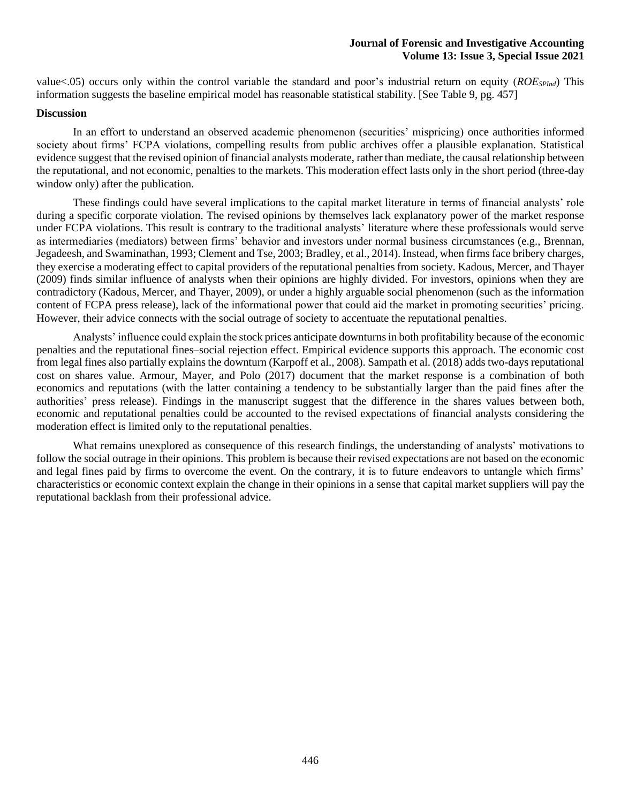value<.05) occurs only within the control variable the standard and poor's industrial return on equity (*ROESPInd*) This information suggests the baseline empirical model has reasonable statistical stability. [See Table 9, pg. 457]

### **Discussion**

In an effort to understand an observed academic phenomenon (securities' mispricing) once authorities informed society about firms' FCPA violations, compelling results from public archives offer a plausible explanation. Statistical evidence suggest that the revised opinion of financial analysts moderate, rather than mediate, the causal relationship between the reputational, and not economic, penalties to the markets. This moderation effect lasts only in the short period (three-day window only) after the publication.

These findings could have several implications to the capital market literature in terms of financial analysts' role during a specific corporate violation. The revised opinions by themselves lack explanatory power of the market response under FCPA violations. This result is contrary to the traditional analysts' literature where these professionals would serve as intermediaries (mediators) between firms' behavior and investors under normal business circumstances (e.g., Brennan, Jegadeesh, and Swaminathan, 1993; Clement and Tse, 2003; Bradley, et al., 2014). Instead, when firms face bribery charges, they exercise a moderating effect to capital providers of the reputational penalties from society. Kadous, Mercer, and Thayer (2009) finds similar influence of analysts when their opinions are highly divided. For investors, opinions when they are contradictory (Kadous, Mercer, and Thayer, 2009), or under a highly arguable social phenomenon (such as the information content of FCPA press release), lack of the informational power that could aid the market in promoting securities' pricing. However, their advice connects with the social outrage of society to accentuate the reputational penalties.

Analysts' influence could explain the stock prices anticipate downturns in both profitability because of the economic penalties and the reputational fines–social rejection effect. Empirical evidence supports this approach. The economic cost from legal fines also partially explains the downturn (Karpoff et al., 2008). Sampath et al. (2018) adds two-days reputational cost on shares value. Armour, Mayer, and Polo (2017) document that the market response is a combination of both economics and reputations (with the latter containing a tendency to be substantially larger than the paid fines after the authorities' press release). Findings in the manuscript suggest that the difference in the shares values between both, economic and reputational penalties could be accounted to the revised expectations of financial analysts considering the moderation effect is limited only to the reputational penalties.

What remains unexplored as consequence of this research findings, the understanding of analysts' motivations to follow the social outrage in their opinions. This problem is because their revised expectations are not based on the economic and legal fines paid by firms to overcome the event. On the contrary, it is to future endeavors to untangle which firms' characteristics or economic context explain the change in their opinions in a sense that capital market suppliers will pay the reputational backlash from their professional advice.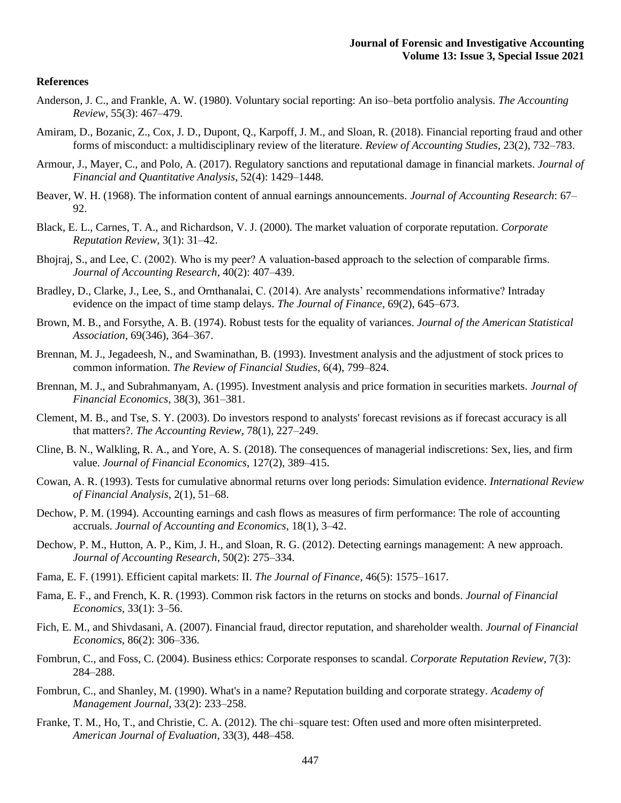#### **References**

- Anderson, J. C., and Frankle, A. W. (1980). Voluntary social reporting: An iso–beta portfolio analysis. *The Accounting Review*, 55(3): 467–479.
- Amiram, D., Bozanic, Z., Cox, J. D., Dupont, Q., Karpoff, J. M., and Sloan, R. (2018). Financial reporting fraud and other forms of misconduct: a multidisciplinary review of the literature. *Review of Accounting Studies*, 23(2), 732–783.
- Armour, J., Mayer, C., and Polo, A. (2017). Regulatory sanctions and reputational damage in financial markets. *Journal of Financial and Quantitative Analysis*, 52(4): 1429–1448.
- Beaver, W. H. (1968). The information content of annual earnings announcements. *Journal of Accounting Research*: 67– 92.
- Black, E. L., Carnes, T. A., and Richardson, V. J. (2000). The market valuation of corporate reputation. *Corporate Reputation Review*, 3(1): 31–42.
- Bhojraj, S., and Lee, C. (2002). Who is my peer? A valuation-based approach to the selection of comparable firms. *Journal of Accounting Research*, 40(2): 407–439.
- Bradley, D., Clarke, J., Lee, S., and Ornthanalai, C. (2014). Are analysts' recommendations informative? Intraday evidence on the impact of time stamp delays. *The Journal of Finance*, 69(2), 645–673.
- Brown, M. B., and Forsythe, A. B. (1974). Robust tests for the equality of variances. *Journal of the American Statistical Association*, 69(346), 364–367.
- Brennan, M. J., Jegadeesh, N., and Swaminathan, B. (1993). Investment analysis and the adjustment of stock prices to common information. *The Review of Financial Studies*, 6(4), 799–824.
- Brennan, M. J., and Subrahmanyam, A. (1995). Investment analysis and price formation in securities markets. *Journal of Financial Economics*, 38(3), 361–381.
- Clement, M. B., and Tse, S. Y. (2003). Do investors respond to analysts' forecast revisions as if forecast accuracy is all that matters?. *The Accounting Review*, 78(1), 227–249.
- Cline, B. N., Walkling, R. A., and Yore, A. S. (2018). The consequences of managerial indiscretions: Sex, lies, and firm value. *Journal of Financial Economics*, 127(2), 389–415.
- Cowan, A. R. (1993). Tests for cumulative abnormal returns over long periods: Simulation evidence. *International Review of Financial Analysis*, 2(1), 51–68.
- Dechow, P. M. (1994). Accounting earnings and cash flows as measures of firm performance: The role of accounting accruals. *Journal of Accounting and Economics*, 18(1), 3–42.
- Dechow, P. M., Hutton, A. P., Kim, J. H., and Sloan, R. G. (2012). Detecting earnings management: A new approach. *Journal of Accounting Research*, 50(2): 275–334.
- Fama, E. F. (1991). Efficient capital markets: II. *The Journal of Finance*, 46(5): 1575–1617.
- Fama, E. F., and French, K. R. (1993). Common risk factors in the returns on stocks and bonds. *Journal of Financial Economics*, 33(1): 3–56.
- Fich, E. M., and Shivdasani, A. (2007). Financial fraud, director reputation, and shareholder wealth. *Journal of Financial Economics*, 86(2): 306–336.
- Fombrun, C., and Foss, C. (2004). Business ethics: Corporate responses to scandal. *Corporate Reputation Review*, 7(3): 284–288.
- Fombrun, C., and Shanley, M. (1990). What's in a name? Reputation building and corporate strategy. *Academy of Management Journal*, 33(2): 233–258.
- Franke, T. M., Ho, T., and Christie, C. A. (2012). The chi–square test: Often used and more often misinterpreted. *American Journal of Evaluation*, 33(3), 448–458.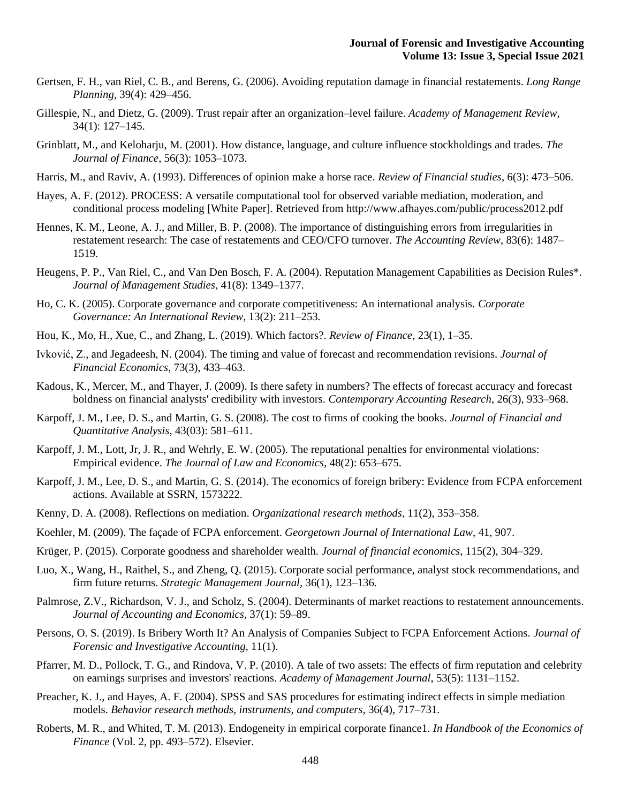- Gertsen, F. H., van Riel, C. B., and Berens, G. (2006). Avoiding reputation damage in financial restatements. *Long Range Planning*, 39(4): 429–456.
- Gillespie, N., and Dietz, G. (2009). Trust repair after an organization–level failure. *Academy of Management Review*, 34(1): 127–145.
- Grinblatt, M., and Keloharju, M. (2001). How distance, language, and culture influence stockholdings and trades. *The Journal of Finance*, 56(3): 1053–1073.
- Harris, M., and Raviv, A. (1993). Differences of opinion make a horse race. *Review of Financial studies*, 6(3): 473–506.
- Hayes, A. F. (2012). PROCESS: A versatile computational tool for observed variable mediation, moderation, and conditional process modeling [White Paper]. Retrieved from http://www.afhayes.com/public/process2012.pdf
- Hennes, K. M., Leone, A. J., and Miller, B. P. (2008). The importance of distinguishing errors from irregularities in restatement research: The case of restatements and CEO/CFO turnover. *The Accounting Review*, 83(6): 1487– 1519.
- Heugens, P. P., Van Riel, C., and Van Den Bosch, F. A. (2004). Reputation Management Capabilities as Decision Rules\*. *Journal of Management Studies*, 41(8): 1349–1377.
- Ho, C. K. (2005). Corporate governance and corporate competitiveness: An international analysis. *Corporate Governance: An International Review*, 13(2): 211–253.
- Hou, K., Mo, H., Xue, C., and Zhang, L. (2019). Which factors?. *Review of Finance*, 23(1), 1–35.
- Ivković, Z., and Jegadeesh, N. (2004). The timing and value of forecast and recommendation revisions. *Journal of Financial Economics*, 73(3), 433–463.
- Kadous, K., Mercer, M., and Thayer, J. (2009). Is there safety in numbers? The effects of forecast accuracy and forecast boldness on financial analysts' credibility with investors. *Contemporary Accounting Research*, 26(3), 933–968.
- Karpoff, J. M., Lee, D. S., and Martin, G. S. (2008). The cost to firms of cooking the books. *Journal of Financial and Quantitative Analysis*, 43(03): 581–611.
- Karpoff, J. M., Lott, Jr, J. R., and Wehrly, E. W. (2005). The reputational penalties for environmental violations: Empirical evidence. *The Journal of Law and Economics*, 48(2): 653–675.
- Karpoff, J. M., Lee, D. S., and Martin, G. S. (2014). The economics of foreign bribery: Evidence from FCPA enforcement actions. Available at SSRN, 1573222.
- Kenny, D. A. (2008). Reflections on mediation. *Organizational research methods*, 11(2), 353–358.
- Koehler, M. (2009). The façade of FCPA enforcement. *Georgetown Journal of International Law*, 41, 907.
- Krüger, P. (2015). Corporate goodness and shareholder wealth*. Journal of financial economics*, 115(2), 304–329.
- Luo, X., Wang, H., Raithel, S., and Zheng, Q. (2015). Corporate social performance, analyst stock recommendations, and firm future returns. *Strategic Management Journal*, 36(1), 123–136.
- Palmrose, Z.V., Richardson, V. J., and Scholz, S. (2004). Determinants of market reactions to restatement announcements. *Journal of Accounting and Economics*, 37(1): 59–89.
- Persons, O. S. (2019). Is Bribery Worth It? An Analysis of Companies Subject to FCPA Enforcement Actions. *Journal of Forensic and Investigative Accounting*, 11(1).
- Pfarrer, M. D., Pollock, T. G., and Rindova, V. P. (2010). A tale of two assets: The effects of firm reputation and celebrity on earnings surprises and investors' reactions. *Academy of Management Journal*, 53(5): 1131–1152.
- Preacher, K. J., and Hayes, A. F. (2004). SPSS and SAS procedures for estimating indirect effects in simple mediation models. *Behavior research methods, instruments, and computers*, 36(4), 717–731.
- Roberts, M. R., and Whited, T. M. (2013). Endogeneity in empirical corporate finance1. *In Handbook of the Economics of Finance* (Vol. 2, pp. 493–572). Elsevier.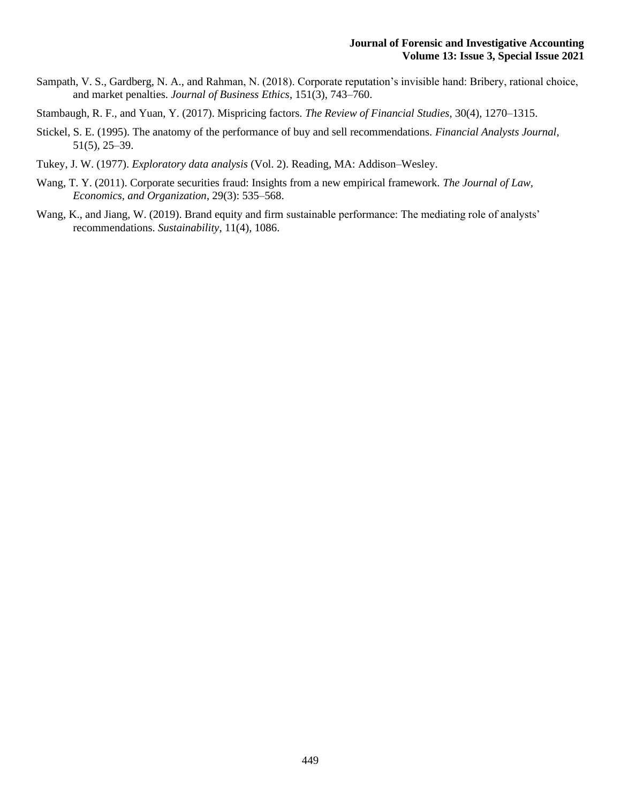- Sampath, V. S., Gardberg, N. A., and Rahman, N. (2018). Corporate reputation's invisible hand: Bribery, rational choice, and market penalties. *Journal of Business Ethics*, 151(3), 743–760.
- Stambaugh, R. F., and Yuan, Y. (2017). Mispricing factors. *The Review of Financial Studies*, 30(4), 1270–1315.
- Stickel, S. E. (1995). The anatomy of the performance of buy and sell recommendations. *Financial Analysts Journal*, 51(5), 25–39.
- Tukey, J. W. (1977). *Exploratory data analysis* (Vol. 2). Reading, MA: Addison–Wesley.
- Wang, T. Y. (2011). Corporate securities fraud: Insights from a new empirical framework. *The Journal of Law, Economics, and Organization*, 29(3): 535–568.
- Wang, K., and Jiang, W. (2019). Brand equity and firm sustainable performance: The mediating role of analysts' recommendations. *Sustainability*, 11(4), 1086.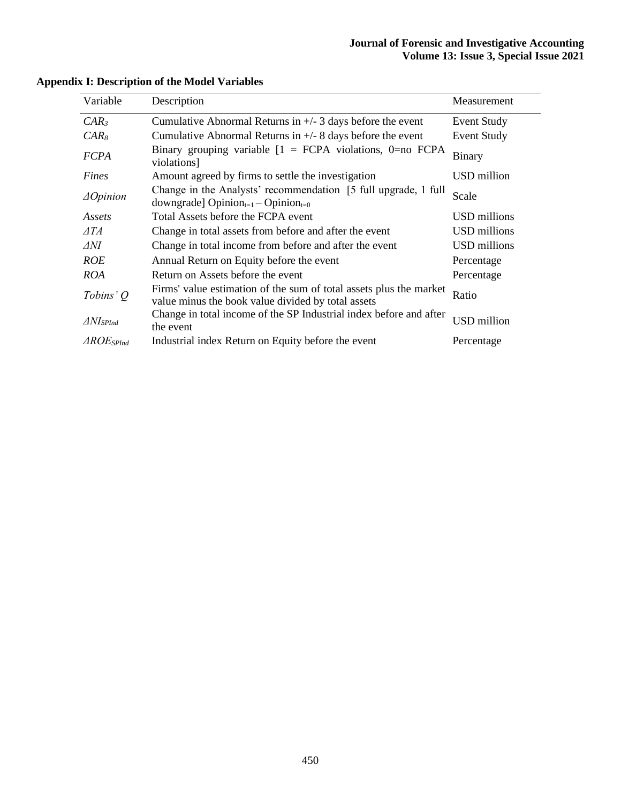| Variable                | Description                                                                                                              | Measurement        |
|-------------------------|--------------------------------------------------------------------------------------------------------------------------|--------------------|
| $CAR_3$                 | Cumulative Abnormal Returns in $+/- 3$ days before the event                                                             | Event Study        |
| $CAR_{8}$               | Cumulative Abnormal Returns in $+/- 8$ days before the event                                                             | <b>Event Study</b> |
| <b>FCPA</b>             | Binary grouping variable $[1 = FCPA$ violations, 0=no $FCPA$<br>violations]                                              | <b>Binary</b>      |
| Fines                   | Amount agreed by firms to settle the investigation                                                                       | USD million        |
| $\triangle$ Opinion     | Change in the Analysts' recommendation [5 full upgrade, 1 full<br>downgrade] $Opinion_{t=1} - Opinion_{t=0}$             | Scale              |
| Assets                  | Total Assets before the FCPA event                                                                                       | USD millions       |
| ATA                     | Change in total assets from before and after the event                                                                   | USD millions       |
| ⊿NI                     | Change in total income from before and after the event                                                                   | USD millions       |
| <b>ROE</b>              | Annual Return on Equity before the event                                                                                 | Percentage         |
| <b>ROA</b>              | Return on Assets before the event                                                                                        | Percentage         |
| Tobins'Q                | Firms' value estimation of the sum of total assets plus the market<br>value minus the book value divided by total assets | Ratio              |
| $\Delta N$ <i>SPInd</i> | Change in total income of the SP Industrial index before and after<br>the event                                          | <b>USD</b> million |
| $\triangle ROE$ SPInd   | Industrial index Return on Equity before the event                                                                       | Percentage         |

## **Appendix I: Description of the Model Variables**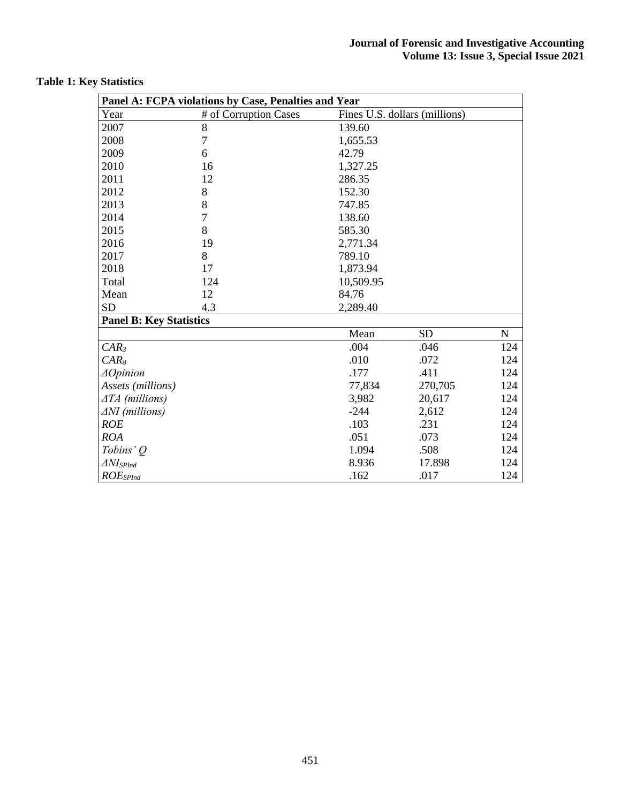|                                | Panel A: FCPA violations by Case, Penalties and Year |           |                               |           |
|--------------------------------|------------------------------------------------------|-----------|-------------------------------|-----------|
| Year                           | # of Corruption Cases                                |           | Fines U.S. dollars (millions) |           |
| 2007                           | $8\,$                                                | 139.60    |                               |           |
| 2008                           | $\overline{7}$                                       | 1,655.53  |                               |           |
| 2009                           | 6                                                    | 42.79     |                               |           |
| 2010                           | 16                                                   | 1,327.25  |                               |           |
| 2011                           | 12                                                   | 286.35    |                               |           |
| 2012                           | 8                                                    | 152.30    |                               |           |
| 2013                           | 8                                                    | 747.85    |                               |           |
| 2014                           | $\overline{7}$                                       | 138.60    |                               |           |
| 2015                           | 8                                                    | 585.30    |                               |           |
| 2016                           | 19                                                   | 2,771.34  |                               |           |
| 2017                           | 8                                                    | 789.10    |                               |           |
| 2018                           | 17                                                   | 1,873.94  |                               |           |
| Total                          | 124                                                  | 10,509.95 |                               |           |
| Mean                           | 12                                                   | 84.76     |                               |           |
| <b>SD</b>                      | 4.3                                                  | 2,289.40  |                               |           |
| <b>Panel B: Key Statistics</b> |                                                      |           |                               |           |
|                                |                                                      | Mean      | <b>SD</b>                     | ${\bf N}$ |
| $CAR_3$                        |                                                      | .004      | .046                          | 124       |
| $CAR_{8}$                      |                                                      | .010      | .072                          | 124       |
| $\triangle$ Opinion            |                                                      | .177      | .411                          | 124       |
| Assets (millions)              |                                                      | 77,834    | 270,705                       | 124       |
| $\triangle TA$ (millions)      |                                                      | 3,982     | 20,617                        | 124       |
| $\Delta NI$ (millions)         |                                                      | $-244$    | 2,612                         | 124       |
| <b>ROE</b>                     |                                                      | .103      | .231                          | 124       |
| <b>ROA</b>                     |                                                      | .051      | .073                          | 124       |
| Tobins' Q                      |                                                      | 1.094     | .508                          | 124       |
| $\Delta N I_{SPInd}$           |                                                      | 8.936     | 17.898                        | 124       |
| $ROE_{SPInd}$                  |                                                      | .162      | .017                          | 124       |

## **Table 1: Key Statistics**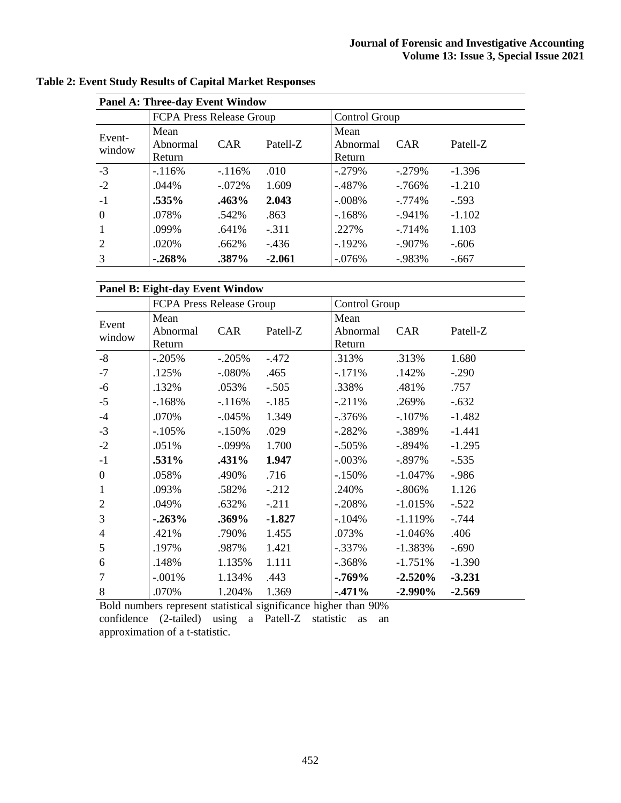|                  | <b>Panel A: Three-day Event Window</b> |            |            |                            |            |          |  |  |  |  |  |  |  |  |
|------------------|----------------------------------------|------------|------------|----------------------------|------------|----------|--|--|--|--|--|--|--|--|
|                  | FCPA Press Release Group               |            |            | Control Group              |            |          |  |  |  |  |  |  |  |  |
| Event-<br>window | Mean<br>Abnormal<br>Return             | <b>CAR</b> | Patell-Z   | Mean<br>Abnormal<br>Return | <b>CAR</b> | Patell-Z |  |  |  |  |  |  |  |  |
| $-3$             | $-116%$                                | $-116%$    | .010       | $-.279%$                   | $-.279%$   | $-1.396$ |  |  |  |  |  |  |  |  |
| $-2$             | .044%                                  | $-.072%$   | 1.609      | $-.487\%$                  | $-766%$    | $-1.210$ |  |  |  |  |  |  |  |  |
| $-1$             | .535%                                  | .463%      | 2.043      | $-.008\%$                  | $-0.774\%$ | $-.593$  |  |  |  |  |  |  |  |  |
| $\Omega$         | .078%                                  | .542%      | .863       | $-168%$                    | $-941%$    | $-1.102$ |  |  |  |  |  |  |  |  |
|                  | .099%                                  | .641%      | $-.311$    | .227%                      | $-714%$    | 1.103    |  |  |  |  |  |  |  |  |
| 2                | .020%                                  | .662%      | $-.436$    | $-192\%$                   | $-907\%$   | $-.606$  |  |  |  |  |  |  |  |  |
| 3                | $-0.268%$                              | .387%      | $-0.076\%$ | $-983%$                    | $-.667$    |          |  |  |  |  |  |  |  |  |

|  |  |  |  |  |  |  |  |  | <b>Table 2: Event Study Results of Capital Market Responses</b> |
|--|--|--|--|--|--|--|--|--|-----------------------------------------------------------------|
|--|--|--|--|--|--|--|--|--|-----------------------------------------------------------------|

## **Panel B: Eight-day Event Window**

|                | <b>FCPA Press Release Group</b> |            |          | Control Group |            |          |
|----------------|---------------------------------|------------|----------|---------------|------------|----------|
| Event          | Mean                            |            |          | Mean          |            |          |
| window         | Abnormal                        | <b>CAR</b> | Patell-Z | Abnormal      | <b>CAR</b> | Patell-Z |
|                | Return                          |            |          | Return        |            |          |
| $-8$           | $-.205%$                        | $-.205%$   | $-.472$  | .313%         | .313%      | 1.680    |
| $-7$           | .125%                           | $-.080%$   | .465     | $-.171%$      | .142%      | $-.290$  |
| $-6$           | .132%                           | .053%      | $-.505$  | .338%         | .481%      | .757     |
| $-5$           | $-168%$                         | $-116%$    | $-.185$  | $-.211%$      | .269%      | $-.632$  |
| $-4$           | .070%                           | $-.045%$   | 1.349    | $-0.376%$     | $-.107%$   | $-1.482$ |
| $-3$           | $-105%$                         | $-.150%$   | .029     | $-.282%$      | $-.389%$   | $-1.441$ |
| $-2$           | .051%                           | $-.099%$   | 1.700    | $-.505%$      | $-.894\%$  | $-1.295$ |
| $-1$           | .531%                           | .431%      | 1.947    | $-.003%$      | $-.897\%$  | $-.535$  |
| $\overline{0}$ | .058%                           | .490%      | .716     | $-150%$       | $-1.047%$  | $-.986$  |
| $\mathbf{1}$   | .093%                           | .582%      | $-.212$  | .240%         | $-0.806\%$ | 1.126    |
| $\overline{2}$ | .049%                           | .632%      | $-.211$  | $-.208%$      | $-1.015%$  | $-.522$  |
| 3              | $-0.263%$                       | .369%      | $-1.827$ | $-.104%$      | $-1.119%$  | $-0.744$ |
| $\overline{4}$ | .421%                           | .790%      | 1.455    | .073%         | $-1.046%$  | .406     |
| 5              | .197%                           | .987%      | 1.421    | $-.337%$      | $-1.383%$  | $-.690$  |
| 6              | .148%                           | 1.135%     | 1.111    | $-0.368\%$    | $-1.751%$  | $-1.390$ |
| $\overline{7}$ | $-.001%$                        | 1.134%     | .443     | $-0.769\%$    | $-2.520%$  | $-3.231$ |
| 8              | .070%                           | 1.204%     | 1.369    | $-471%$       | $-2.990\%$ | $-2.569$ |

Bold numbers represent statistical significance higher than 90% confidence (2-tailed) using a Patell-Z statistic as an approximation of a t-statistic.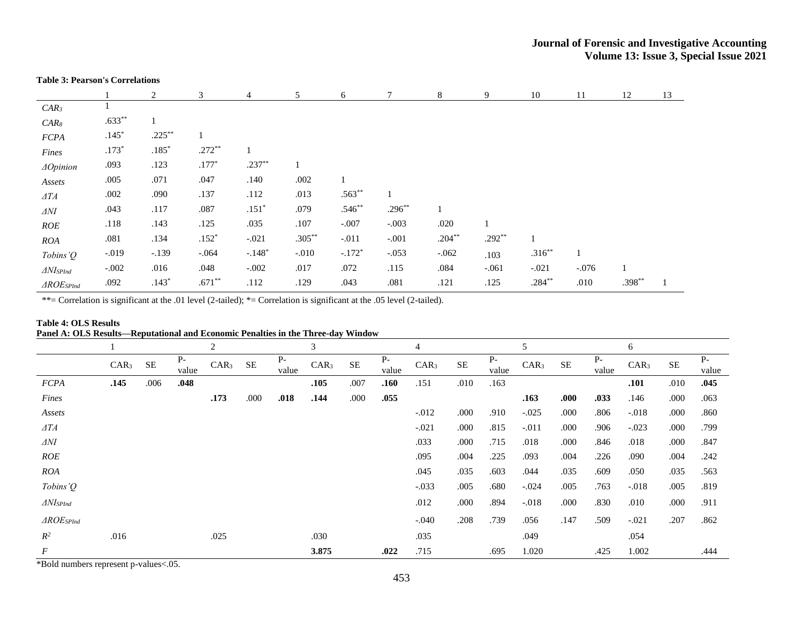#### **Table 3: Pearson's Correlations**

|                                       |          | 2             | 3        | $\overline{4}$ | 5         | 6        |              | 8         | 9        | 10        | 11      | 12       | 13 |
|---------------------------------------|----------|---------------|----------|----------------|-----------|----------|--------------|-----------|----------|-----------|---------|----------|----|
| $CAR_3$                               |          |               |          |                |           |          |              |           |          |           |         |          |    |
| $CAR_8$                               | $.633**$ | 1             |          |                |           |          |              |           |          |           |         |          |    |
| <b>FCPA</b>                           | $.145*$  | $.225***$     |          |                |           |          |              |           |          |           |         |          |    |
| Fines                                 | $.173*$  | $.185^{\ast}$ | $.272**$ |                |           |          |              |           |          |           |         |          |    |
| $\triangle$ Opinion                   | .093     | .123          | $.177*$  | $.237**$       |           |          |              |           |          |           |         |          |    |
| Assets                                | .005     | .071          | .047     | .140           | .002      |          |              |           |          |           |         |          |    |
| $\varDelta TA$                        | .002     | .090          | .137     | .112           | .013      | $.563**$ | $\mathbf{1}$ |           |          |           |         |          |    |
| $\varDelta N I$                       | .043     | .117          | .087     | $.151*$        | .079      | $.546**$ | $.296***$    |           |          |           |         |          |    |
| ROE                                   | .118     | .143          | .125     | .035           | .107      | $-.007$  | $-.003$      | .020      |          |           |         |          |    |
| ROA                                   | .081     | .134          | $.152*$  | $-.021$        | $.305***$ | $-.011$  | $-.001$      | $.204***$ | $.292**$ |           |         |          |    |
| Tobins' $Q$                           | $-.019$  | $-.139$       | $-.064$  | $-.148*$       | $-.010$   | $-.172*$ | $-.053$      | $-.062$   | .103     | $.316***$ |         |          |    |
| $\triangle$ <i>NIsp<sub>Ind</sub></i> | $-.002$  | .016          | .048     | $-.002$        | .017      | .072     | .115         | .084      | $-.061$  | $-.021$   | $-.076$ |          |    |
| $\triangle ROE$ SPInd                 | .092     | $.143*$       | $.671**$ | .112           | .129      | .043     | .081         | .121      | .125     | $.284***$ | .010    | $.398**$ |    |

\*\*= Correlation is significant at the .01 level (2-tailed); \*= Correlation is significant at the .05 level (2-tailed).

#### **Table 4: OLS Results Panel A: OLS Results—Reputational and Economic Penalties in the Three-day Window**

|                                 |                  |           |               | $\overline{2}$   |           |               | 3                |           |               | 4                |           |             | 5                |          |               | 6                |          |               |
|---------------------------------|------------------|-----------|---------------|------------------|-----------|---------------|------------------|-----------|---------------|------------------|-----------|-------------|------------------|----------|---------------|------------------|----------|---------------|
|                                 | CAR <sub>3</sub> | <b>SE</b> | $P-$<br>value | CAR <sub>3</sub> | <b>SE</b> | $P-$<br>value | CAR <sub>3</sub> | <b>SE</b> | $P-$<br>value | CAR <sub>3</sub> | <b>SE</b> | Р-<br>value | CAR <sub>3</sub> | $\rm SE$ | $P-$<br>value | CAR <sub>3</sub> | $\rm SE$ | $P-$<br>value |
| <b>FCPA</b>                     | .145             | .006      | .048          |                  |           |               | .105             | .007      | .160          | .151             | .010      | .163        |                  |          |               | .101             | .010     | .045          |
| Fines                           |                  |           |               | .173             | .000      | .018          | .144             | .000      | .055          |                  |           |             | .163             | .000     | .033          | .146             | .000     | .063          |
| Assets                          |                  |           |               |                  |           |               |                  |           |               | $-0.012$         | .000      | .910        | $-.025$          | .000     | .806          | $-.018$          | .000     | .860          |
| $\triangle TA$                  |                  |           |               |                  |           |               |                  |           |               | $-.021$          | .000      | .815        | $-.011$          | .000     | .906          | $-.023$          | .000     | .799          |
| $\varDelta N I$                 |                  |           |               |                  |           |               |                  |           |               | .033             | .000      | .715        | .018             | .000     | .846          | .018             | .000     | .847          |
| <b>ROE</b>                      |                  |           |               |                  |           |               |                  |           |               | .095             | .004      | .225        | .093             | .004     | .226          | .090             | .004     | .242          |
| <b>ROA</b>                      |                  |           |               |                  |           |               |                  |           |               | .045             | .035      | .603        | .044             | .035     | .609          | .050             | .035     | .563          |
| Tobins' $Q$                     |                  |           |               |                  |           |               |                  |           |               | $-.033$          | .005      | .680        | $-.024$          | .005     | .763          | $-.018$          | .005     | .819          |
| $\triangle$ NI <sub>SPInd</sub> |                  |           |               |                  |           |               |                  |           |               | .012             | .000      | .894        | $-.018$          | .000     | .830          | .010             | .000     | .911          |
| $\triangle ROE_{SPInd}$         |                  |           |               |                  |           |               |                  |           |               | $-.040$          | .208      | .739        | .056             | .147     | .509          | $-.021$          | .207     | .862          |
| $R^2$                           | .016             |           |               | .025             |           |               | .030             |           |               | .035             |           |             | .049             |          |               | .054             |          |               |
| $\boldsymbol{F}$                |                  |           |               |                  |           |               | 3.875            |           | .022          | .715             |           | .695        | 1.020            |          | .425          | 1.002            |          | .444          |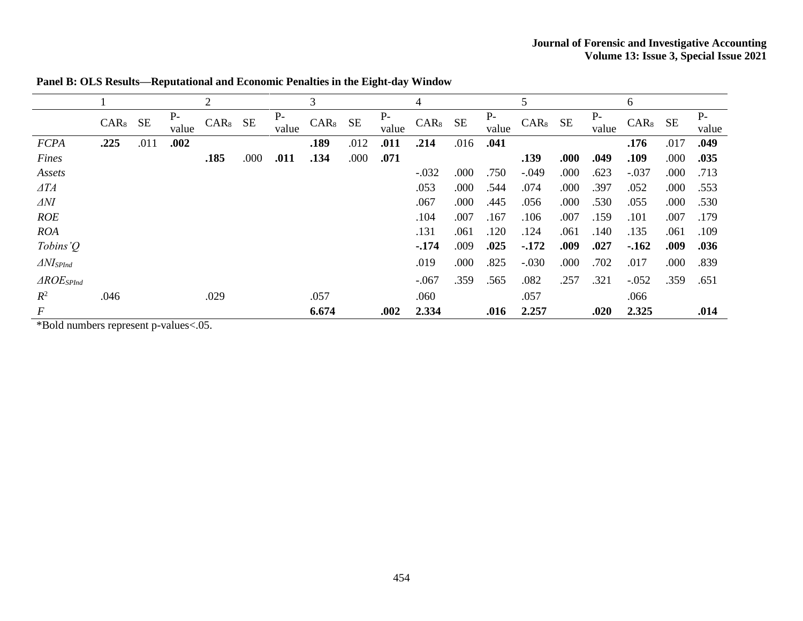|                       |           |      |               | 2         |      |               | 3         |      |               | 4         |      |               | 5          |      |               | 6         |      |               |
|-----------------------|-----------|------|---------------|-----------|------|---------------|-----------|------|---------------|-----------|------|---------------|------------|------|---------------|-----------|------|---------------|
|                       | $CAR8$ SE |      | $P-$<br>value | $CAR8$ SE |      | $P-$<br>value | $CAR8$ SE |      | $P-$<br>value | $CAR8$ SE |      | $P-$<br>value | $CAR_8$ SE |      | $P-$<br>value | $CAR8$ SE |      | $P-$<br>value |
| <b>FCPA</b>           | .225      | .011 | .002          |           |      |               | .189      | .012 | .011          | .214      | .016 | .041          |            |      |               | .176      | .017 | .049          |
| Fines                 |           |      |               | .185      | .000 | .011          | .134      | .000 | .071          |           |      |               | .139       | .000 | .049          | .109      | .000 | .035          |
| Assets                |           |      |               |           |      |               |           |      |               | $-.032$   | .000 | .750          | $-.049$    | .000 | .623          | $-.037$   | .000 | .713          |
| $\triangle TA$        |           |      |               |           |      |               |           |      |               | .053      | .000 | .544          | .074       | .000 | .397          | .052      | .000 | .553          |
| $\Delta NI$           |           |      |               |           |      |               |           |      |               | .067      | .000 | .445          | .056       | .000 | .530          | .055      | .000 | .530          |
| <b>ROE</b>            |           |      |               |           |      |               |           |      |               | .104      | .007 | .167          | .106       | .007 | .159          | .101      | .007 | .179          |
| <b>ROA</b>            |           |      |               |           |      |               |           |      |               | .131      | .061 | .120          | .124       | .061 | .140          | .135      | .061 | .109          |
| Tobins' $Q$           |           |      |               |           |      |               |           |      |               | $-174$    | .009 | .025          | $-172$     | .009 | .027          | $-.162$   | .009 | .036          |
| $\Delta N I_{SPInd}$  |           |      |               |           |      |               |           |      |               | .019      | .000 | .825          | $-.030$    | .000 | .702          | .017      | .000 | .839          |
| $\triangle ROE$ SPInd |           |      |               |           |      |               |           |      |               | $-.067$   | .359 | .565          | .082       | .257 | .321          | $-.052$   | .359 | .651          |
| $R^2$                 | .046      |      |               | .029      |      |               | .057      |      |               | .060      |      |               | .057       |      |               | .066      |      |               |
| $\boldsymbol{F}$      |           |      |               |           |      |               | 6.674     |      | .002          | 2.334     |      | .016          | 2.257      |      | .020          | 2.325     |      | .014          |

**Panel B: OLS Results—Reputational and Economic Penalties in the Eight-day Window**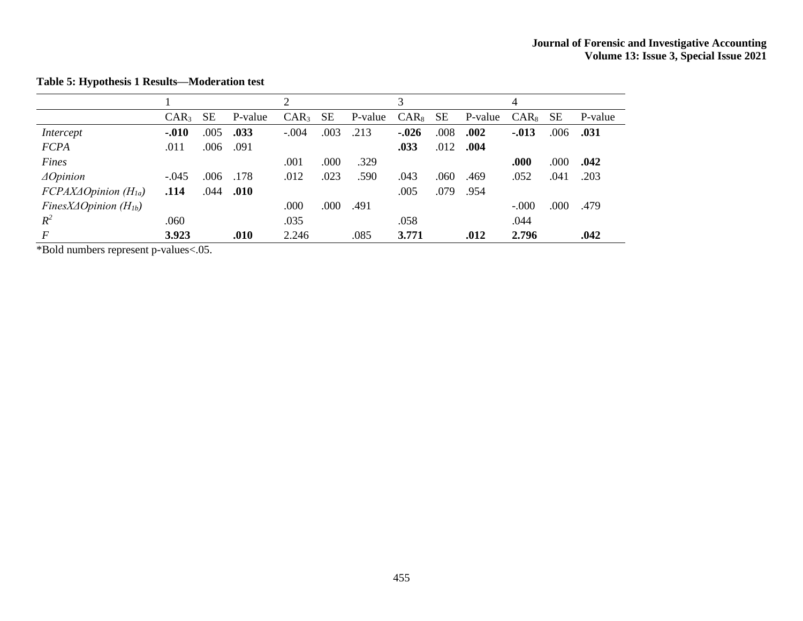|                                               |                  |           |         | ↑                |           |         | 3       |           |         | 4        |           |         |
|-----------------------------------------------|------------------|-----------|---------|------------------|-----------|---------|---------|-----------|---------|----------|-----------|---------|
|                                               | CAR <sub>3</sub> | <b>SE</b> | P-value | CAR <sub>3</sub> | <b>SE</b> | P-value | $CAR_8$ | <b>SE</b> | P-value | $CAR_8$  | <b>SE</b> | P-value |
| Intercept                                     | $-.010$          | .005      | .033    | $-.004$          | .003      | .213    | $-.026$ | .008      | .002    | $-0.013$ | .006      | .031    |
| <b>FCPA</b>                                   | .011             | .006      | .091    |                  |           |         | .033    | .012      | .004    |          |           |         |
| Fines                                         |                  |           |         | .001             | .000      | .329    |         |           |         | .000     | .000      | .042    |
| $\triangle$ Opinion                           | $-.045$          | .006      | .178    | .012             | .023      | .590    | .043    | .060      | .469    | .052     | .041      | .203    |
| $FCPAX\Delta Opinion (H1a)$                   | .114             | .044      | .010    |                  |           |         | .005    | .079      | .954    |          |           |         |
| FinesX $\triangle$ Opinion (H <sub>1b</sub> ) |                  |           |         | .000             | .000      | .491    |         |           |         | $-.000$  | .000      | .479    |
| $R^2$                                         | .060             |           |         | .035             |           |         | .058    |           |         | .044     |           |         |
| $\boldsymbol{F}$                              | 3.923            |           | .010    | 2.246            |           | .085    | 3.771   |           | .012    | 2.796    |           | .042    |

**Table 5: Hypothesis 1 Results—Moderation test**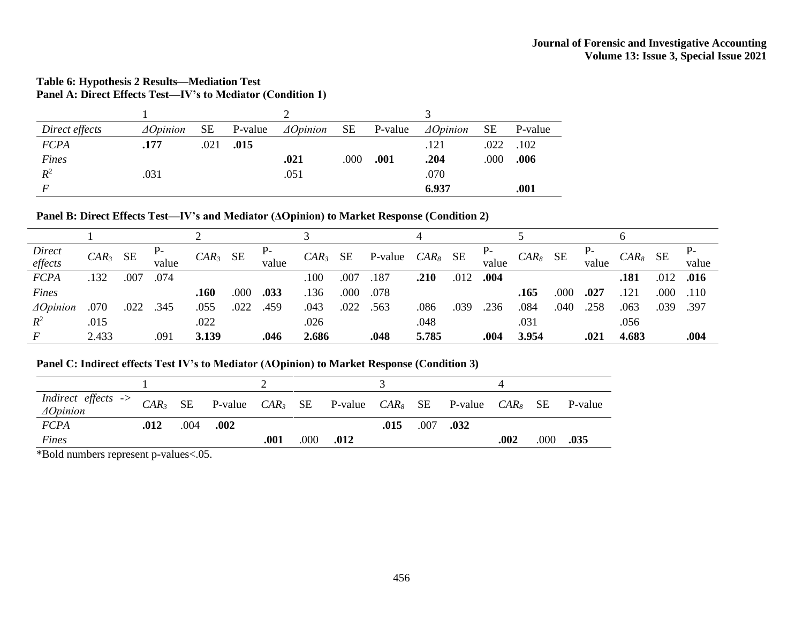## **Table 6: Hypothesis 2 Results—Mediation Test Panel A: Direct Effects Test—IV's to Mediator (Condition 1)**

| Direct effects | $\triangle$ Opinion | <b>SE</b> | P-value | $\triangle$ Opinion | SE   | P-value | $\triangle$ Opinion | <b>SE</b> | P-value |
|----------------|---------------------|-----------|---------|---------------------|------|---------|---------------------|-----------|---------|
| <b>FCPA</b>    | .177                | .021      | .015    |                     |      |         | .121                | .022      | .102    |
| Fines          |                     |           |         | .021                | .000 | .001    | .204                | .000      | .006    |
| $R^2$          | .031                |           |         | .051                |      |         | .070                |           |         |
|                |                     |           |         |                     |      |         | 6.937               |           | .001    |

## **Panel B: Direct Effects Test—IV's and Mediator (ΔOpinion) to Market Response (Condition 2)**

| Direct              | $CAR3$ SE |      |       | $CAR3$ SE |      |       | $CAR_3$ | SE   | P-value | $CAR_8$ | SE   |               | $CAR_8$ | SE   |       | $CAR_8$ SE |      |               |
|---------------------|-----------|------|-------|-----------|------|-------|---------|------|---------|---------|------|---------------|---------|------|-------|------------|------|---------------|
| effects             |           |      | value |           |      | value |         |      |         |         |      | value         |         |      | value |            |      | value         |
| <b>FCPA</b>         | .132      | .007 | .074  |           |      |       | .100    | .007 | .187    | .210    |      | $.012$ $.004$ |         |      |       | .181       |      | $.012$ $.016$ |
| Fines               |           |      |       | .160      | .000 | .033  | .136    | .000 | .078    |         |      |               | .165    | .000 | .027  | .121       | .000 | .110          |
| $\triangle$ Opinion | .070      | .022 | .345  | .055      | .022 | .459  | .043    | .022 | .563    | .086    | .039 | .236          | .084    | .040 | .258  | .063       | .039 | .397          |
| $R^2$               | .015      |      |       | .022      |      |       | .026    |      |         | .048    |      |               | .031    |      |       | .056       |      |               |
|                     | 2.433     |      | .091  | 3.139     |      | .046  | 2.686   |      | .048    | 5.785   |      | .004          | 3.954   |      | .021  | 4.683      |      | .004          |

## **Panel C: Indirect effects Test IV's to Mediator (ΔOpinion) to Market Response (Condition 3)**

| <i>Indirect effects</i> -> $CAR_3$ SE P-value $CAR_3$ SE P-value $CAR_8$ SE P-value $CAR_8$ SE P-value $CAR_8$ SE P-value |      |      |      |      |      |      |      |               |      |      |      |
|---------------------------------------------------------------------------------------------------------------------------|------|------|------|------|------|------|------|---------------|------|------|------|
| <b>FCPA</b>                                                                                                               | .012 | .004 | .002 |      |      |      | .015 | $.007$ $.032$ |      |      |      |
| Fines                                                                                                                     |      |      |      | .001 | .000 | .012 |      |               | .002 | .000 | .035 |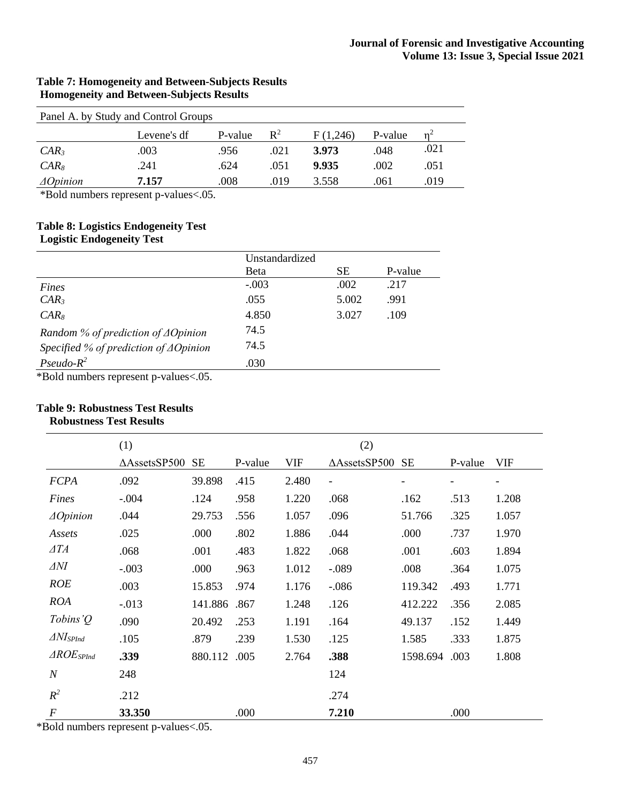## **Table 7: Homogeneity and Between-Subjects Results Homogeneity and Between-Subjects Results**

| Panel A. by Study and Control Groups |             |         |                |          |         |      |  |  |
|--------------------------------------|-------------|---------|----------------|----------|---------|------|--|--|
|                                      | Levene's df | P-value | $\mathbb{R}^2$ | F(1,246) | P-value |      |  |  |
| $CAR_3$                              | .003        | .956    | .021           | 3.973    | .048    | .021 |  |  |
| $CAR_8$                              | .241        | .624    | .051           | 9.935    | .002    | .051 |  |  |
| $\triangle$ Opinion                  | 7.157       | .008    | .019           | 3.558    | .061    | .019 |  |  |

\*Bold numbers represent p-values<.05.

## **Table 8: Logistics Endogeneity Test Logistic Endogeneity Test**

|                                                  | Unstandardized |           |         |
|--------------------------------------------------|----------------|-----------|---------|
|                                                  | <b>B</b> eta   | <b>SE</b> | P-value |
| Fines                                            | $-.003$        | .002      | .217    |
| $CAR_3$                                          | .055           | 5.002     | .991    |
| $CAR_{8}$                                        | 4.850          | 3.027     | .109    |
| Random % of prediction of $\triangle$ Opinion    | 74.5           |           |         |
| Specified % of prediction of $\triangle$ Opinion | 74.5           |           |         |
| $Pseudo-R^2$                                     | .030           |           |         |
| $Rold$ numbers represent p values $05$           |                |           |         |

\*Bold numbers represent p-values<.05.

## **Table 9: Robustness Test Results**

## **Robustness Test Results**

|                          | (1)<br>(2)              |           |         |            |                          |           |                   |                          |
|--------------------------|-------------------------|-----------|---------|------------|--------------------------|-----------|-------------------|--------------------------|
|                          | $\triangle$ AssetsSP500 | <b>SE</b> | P-value | <b>VIF</b> | $\triangle$ AssetsSP500  | <b>SE</b> | P-value           | <b>VIF</b>               |
| <b>FCPA</b>              | .092                    | 39.898    | .415    | 2.480      | $\overline{\phantom{a}}$ | -         | $\qquad \qquad -$ | $\overline{\phantom{a}}$ |
| Fines                    | $-.004$                 | .124      | .958    | 1.220      | .068                     | .162      | .513              | 1.208                    |
| $\triangle$ Opinion      | .044                    | 29.753    | .556    | 1.057      | .096                     | 51.766    | .325              | 1.057                    |
| Assets                   | .025                    | .000      | .802    | 1.886      | .044                     | .000      | .737              | 1.970                    |
| $\triangle TA$           | .068                    | .001      | .483    | 1.822      | .068                     | .001      | .603              | 1.894                    |
| $\Delta N I$             | $-.003$                 | .000      | .963    | 1.012      | $-.089$                  | .008      | .364              | 1.075                    |
| <b>ROE</b>               | .003                    | 15.853    | .974    | 1.176      | $-.086$                  | 119.342   | .493              | 1.771                    |
| <b>ROA</b>               | $-0.013$                | 141.886   | .867    | 1.248      | .126                     | 412.222   | .356              | 2.085                    |
| Tobins' $Q$              | .090                    | 20.492    | .253    | 1.191      | .164                     | 49.137    | .152              | 1.449                    |
| $\Delta N$ <i>IspInd</i> | .105                    | .879      | .239    | 1.530      | .125                     | 1.585     | .333              | 1.875                    |
| $\triangle ROE_{SPInd}$  | .339                    | 880.112   | .005    | 2.764      | .388                     | 1598.694  | .003              | 1.808                    |
| $\boldsymbol{N}$         | 248                     |           |         |            | 124                      |           |                   |                          |
| $R^2$                    | .212                    |           |         |            | .274                     |           |                   |                          |
| $\boldsymbol{F}$         | 33.350                  |           | .000    |            | 7.210                    |           | .000              |                          |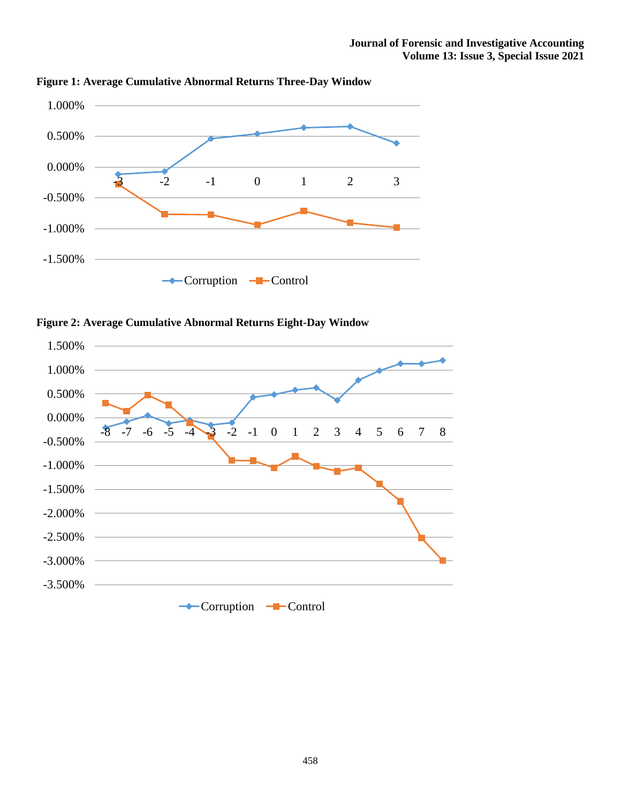

**Figure 1: Average Cumulative Abnormal Returns Three-Day Window**